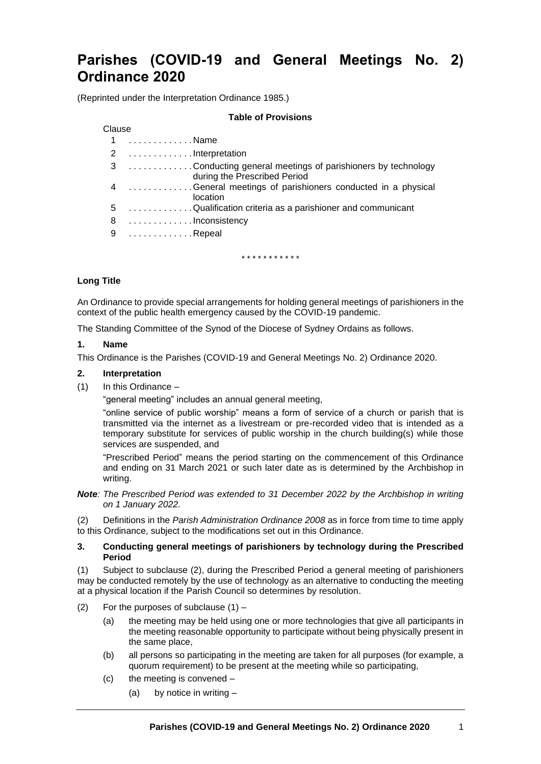# **Parishes (COVID-19 and General Meetings No. 2) Ordinance 2020**

(Reprinted under the Interpretation Ordinance 1985.)

#### **Table of Provisions**

## Clause

| 1 Name<br>2 Interpretation<br>during the Prescribed Period<br>location<br>5 Qualification criteria as a parishioner and communicant<br>8 Inconsistency<br>9 Repeal |                                                             |
|--------------------------------------------------------------------------------------------------------------------------------------------------------------------|-------------------------------------------------------------|
|                                                                                                                                                                    |                                                             |
|                                                                                                                                                                    |                                                             |
|                                                                                                                                                                    | 3 Conducting general meetings of parishioners by technology |
|                                                                                                                                                                    | 4 General meetings of parishioners conducted in a physical  |
|                                                                                                                                                                    |                                                             |
|                                                                                                                                                                    |                                                             |
|                                                                                                                                                                    |                                                             |

\* \* \* \* \* \* \* \* \* \* \*

# **Long Title**

An Ordinance to provide special arrangements for holding general meetings of parishioners in the context of the public health emergency caused by the COVID-19 pandemic.

The Standing Committee of the Synod of the Diocese of Sydney Ordains as follows.

#### **1. Name**

This Ordinance is the Parishes (COVID-19 and General Meetings No. 2) Ordinance 2020.

#### **2. Interpretation**

(1) In this Ordinance –

"general meeting" includes an annual general meeting,

"online service of public worship" means a form of service of a church or parish that is transmitted via the internet as a livestream or pre-recorded video that is intended as a temporary substitute for services of public worship in the church building(s) while those services are suspended, and

"Prescribed Period" means the period starting on the commencement of this Ordinance and ending on 31 March 2021 or such later date as is determined by the Archbishop in writing.

*Note: The Prescribed Period was extended to 31 December 2022 by the Archbishop in writing on 1 January 2022.*

(2) Definitions in the *Parish Administration Ordinance 2008* as in force from time to time apply to this Ordinance, subject to the modifications set out in this Ordinance.

#### **3. Conducting general meetings of parishioners by technology during the Prescribed Period**

(1) Subject to subclause (2), during the Prescribed Period a general meeting of parishioners may be conducted remotely by the use of technology as an alternative to conducting the meeting at a physical location if the Parish Council so determines by resolution.

- (2) For the purposes of subclause  $(1)$ 
	- (a) the meeting may be held using one or more technologies that give all participants in the meeting reasonable opportunity to participate without being physically present in the same place,
	- (b) all persons so participating in the meeting are taken for all purposes (for example, a quorum requirement) to be present at the meeting while so participating,
	- (c) the meeting is convened
		- (a) by notice in writing –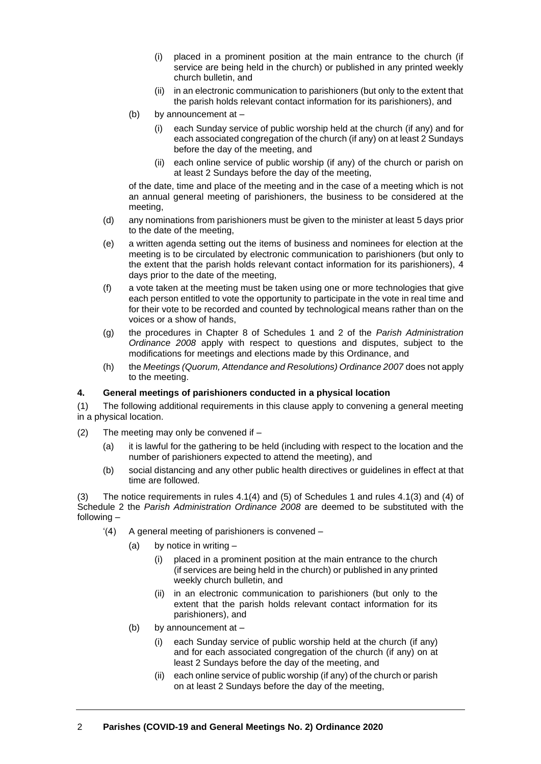- (i) placed in a prominent position at the main entrance to the church (if service are being held in the church) or published in any printed weekly church bulletin, and
- (ii) in an electronic communication to parishioners (but only to the extent that the parish holds relevant contact information for its parishioners), and
- (b) by announcement at
	- (i) each Sunday service of public worship held at the church (if any) and for each associated congregation of the church (if any) on at least 2 Sundays before the day of the meeting, and
	- (ii) each online service of public worship (if any) of the church or parish on at least 2 Sundays before the day of the meeting,

of the date, time and place of the meeting and in the case of a meeting which is not an annual general meeting of parishioners, the business to be considered at the meeting,

- (d) any nominations from parishioners must be given to the minister at least 5 days prior to the date of the meeting,
- (e) a written agenda setting out the items of business and nominees for election at the meeting is to be circulated by electronic communication to parishioners (but only to the extent that the parish holds relevant contact information for its parishioners), 4 days prior to the date of the meeting,
- (f) a vote taken at the meeting must be taken using one or more technologies that give each person entitled to vote the opportunity to participate in the vote in real time and for their vote to be recorded and counted by technological means rather than on the voices or a show of hands,
- (g) the procedures in Chapter 8 of Schedules 1 and 2 of the *Parish Administration Ordinance 2008* apply with respect to questions and disputes, subject to the modifications for meetings and elections made by this Ordinance, and
- (h) the *Meetings (Quorum, Attendance and Resolutions) Ordinance 2007* does not apply to the meeting.

# **4. General meetings of parishioners conducted in a physical location**

(1) The following additional requirements in this clause apply to convening a general meeting in a physical location.

- $(2)$  The meeting may only be convened if  $-$ 
	- (a) it is lawful for the gathering to be held (including with respect to the location and the number of parishioners expected to attend the meeting), and
	- (b) social distancing and any other public health directives or guidelines in effect at that time are followed.

(3) The notice requirements in rules 4.1(4) and (5) of Schedules 1 and rules 4.1(3) and (4) of Schedule 2 the *Parish Administration Ordinance 2008* are deemed to be substituted with the following –

- '(4) A general meeting of parishioners is convened
	- (a) by notice in writing
		- (i) placed in a prominent position at the main entrance to the church (if services are being held in the church) or published in any printed weekly church bulletin, and
		- (ii) in an electronic communication to parishioners (but only to the extent that the parish holds relevant contact information for its parishioners), and
	- (b) by announcement at
		- (i) each Sunday service of public worship held at the church (if any) and for each associated congregation of the church (if any) on at least 2 Sundays before the day of the meeting, and
		- (ii) each online service of public worship (if any) of the church or parish on at least 2 Sundays before the day of the meeting,